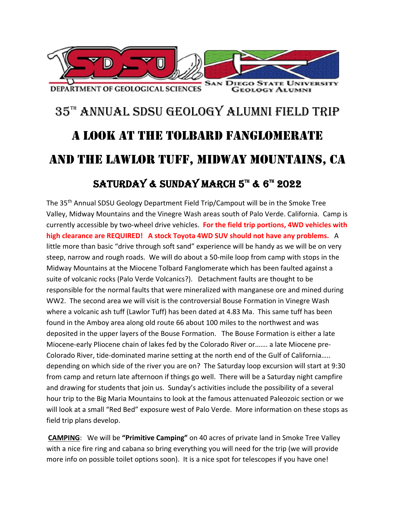

## 35TH ANNUAL SDSU GEOLOGY ALUMNI FIELD TRIP A LOOK AT THE TOLBARD FANGLOMERATE AND THE LAWLOR TUFF, MIDWAY MOUNTAINS, CA SATURDAY & SUNDAY MARCH  $5^{\text{m}}$  &  $6^{\text{m}}$  2022

The 35th Annual SDSU Geology Department Field Trip/Campout will be in the Smoke Tree Valley, Midway Mountains and the Vinegre Wash areas south of Palo Verde. California. Camp is currently accessible by two‐wheel drive vehicles. **For the field trip portions, 4WD vehicles with high clearance are REQUIRED! A stock Toyota 4WD SUV should not have any problems.**  A little more than basic "drive through soft sand" experience will be handy as we will be on very steep, narrow and rough roads. We will do about a 50‐mile loop from camp with stops in the Midway Mountains at the Miocene Tolbard Fanglomerate which has been faulted against a suite of volcanic rocks (Palo Verde Volcanics?). Detachment faults are thought to be responsible for the normal faults that were mineralized with manganese ore and mined during WW2. The second area we will visit is the controversial Bouse Formation in Vinegre Wash where a volcanic ash tuff (Lawlor Tuff) has been dated at 4.83 Ma. This same tuff has been found in the Amboy area along old route 66 about 100 miles to the northwest and was deposited in the upper layers of the Bouse Formation. The Bouse Formation is either a late Miocene‐early Pliocene chain of lakes fed by the Colorado River or……. a late Miocene pre‐ Colorado River, tide‐dominated marine setting at the north end of the Gulf of California….. depending on which side of the river you are on? The Saturday loop excursion will start at 9:30 from camp and return late afternoon if things go well. There will be a Saturday night campfire and drawing for students that join us. Sunday's activities include the possibility of a several hour trip to the Big Maria Mountains to look at the famous attenuated Paleozoic section or we will look at a small "Red Bed" exposure west of Palo Verde. More information on these stops as field trip plans develop.

**CAMPING**: We will be **"Primitive Camping"** on 40 acres of private land in Smoke Tree Valley with a nice fire ring and cabana so bring everything you will need for the trip (we will provide more info on possible toilet options soon). It is a nice spot for telescopes if you have one!